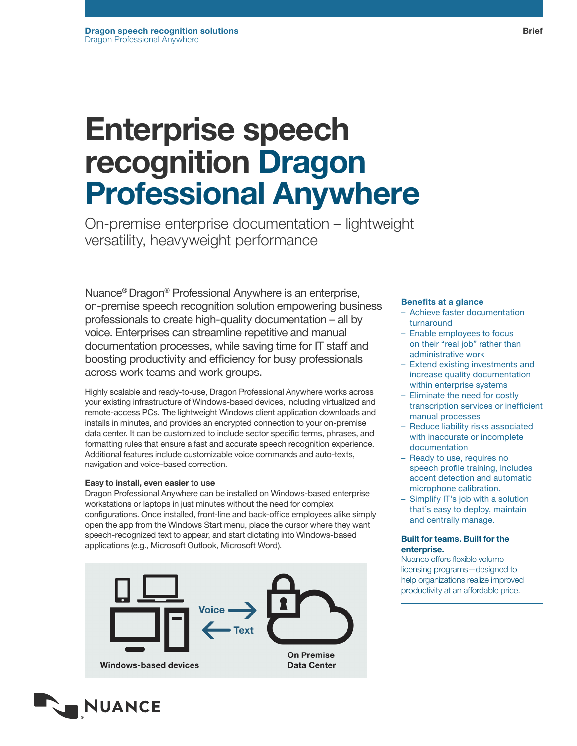# Enterprise speech recognition Dragon Professional Anywhere

On-premise enterprise documentation – lightweight versatility, heavyweight performance

Nuance® Dragon® Professional Anywhere is an enterprise, on-premise speech recognition solution empowering business professionals to create high-quality documentation – all by voice. Enterprises can streamline repetitive and manual documentation processes, while saving time for IT staff and boosting productivity and efficiency for busy professionals across work teams and work groups.

Highly scalable and ready-to-use, Dragon Professional Anywhere works across your existing infrastructure of Windows-based devices, including virtualized and remote-access PCs. The lightweight Windows client application downloads and installs in minutes, and provides an encrypted connection to your on-premise data center. It can be customized to include sector specific terms, phrases, and formatting rules that ensure a fast and accurate speech recognition experience. Additional features include customizable voice commands and auto-texts, navigation and voice-based correction.

# Easy to install, even easier to use

Dragon Professional Anywhere can be installed on Windows-based enterprise workstations or laptops in just minutes without the need for complex configurations. Once installed, front-line and back-office employees alike simply open the app from the Windows Start menu, place the cursor where they want speech-recognized text to appear, and start dictating into Windows-based applications (e.g., Microsoft Outlook, Microsoft Word).





# Benefits at a glance

- Achieve faster documentation turnaround
- Enable employees to focus on their "real job" rather than administrative work
- Extend existing investments and increase quality documentation within enterprise systems
- Eliminate the need for costly transcription services or inefficient manual processes
- Reduce liability risks associated with inaccurate or incomplete documentation
- Ready to use, requires no speech profile training, includes accent detection and automatic microphone calibration.
- Simplify IT's job with a solution that's easy to deploy, maintain and centrally manage.

#### Built for teams. Built for the enterprise.

Nuance offers flexible volume licensing programs—designed to help organizations realize improved productivity at an affordable price.